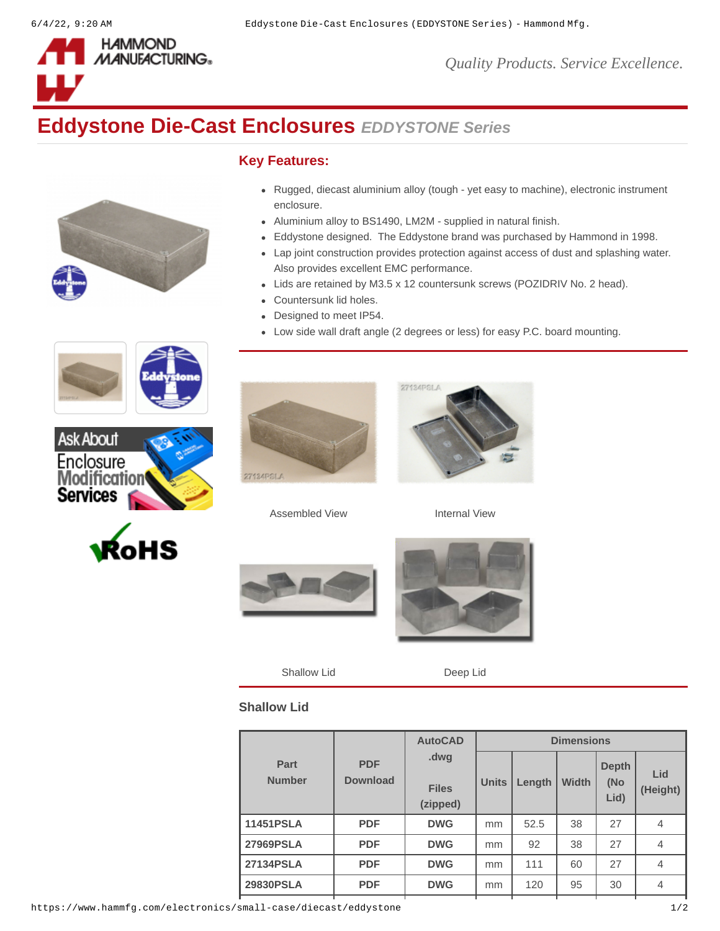

*Quality Products. Service Excellence.*

## **Eddystone Die-Cast Enclosures** *EDDYSTONE Series*



## **Key Features:**

- Rugged, diecast aluminium alloy (tough yet easy to machine), electronic instrument enclosure.
- Aluminium alloy to BS1490, LM2M supplied in natural finish.
- Eddystone designed. The Eddystone brand was purchased by Hammond in 1998.
- Lap joint construction provides protection against access of dust and splashing water. Also provides excellent EMC performance.
- Lids are retained by M3.5 x 12 countersunk screws (POZIDRIV No. 2 head).
- Countersunk lid holes.
- $\bullet$ Designed to meet IP54.
- Low side wall draft angle (2 degrees or less) for easy P.C. board mounting.











Assembled View **Internal View** 



Shallow Lid Deep Lid

## **Shallow Lid**

| Part<br><b>Number</b> | <b>PDF</b><br><b>Download</b> | <b>AutoCAD</b><br>.dwg<br><b>Files</b><br>(zipped) | <b>Dimensions</b> |        |              |                             |                 |
|-----------------------|-------------------------------|----------------------------------------------------|-------------------|--------|--------------|-----------------------------|-----------------|
|                       |                               |                                                    | <b>Units</b>      | Length | <b>Width</b> | <b>Depth</b><br>(No<br>Lid) | Lid<br>(Height) |
| 11451PSLA             | <b>PDF</b>                    | <b>DWG</b>                                         | mm                | 52.5   | 38           | 27                          | 4               |
| <b>27969PSLA</b>      | <b>PDF</b>                    | <b>DWG</b>                                         | mm                | 92     | 38           | 27                          | $\overline{4}$  |
| <b>27134PSLA</b>      | <b>PDF</b>                    | <b>DWG</b>                                         | mm                | 111    | 60           | 27                          | $\overline{4}$  |
| <b>29830PSLA</b>      | <b>PDF</b>                    | <b>DWG</b>                                         | mm                | 120    | 95           | 30                          | 4               |